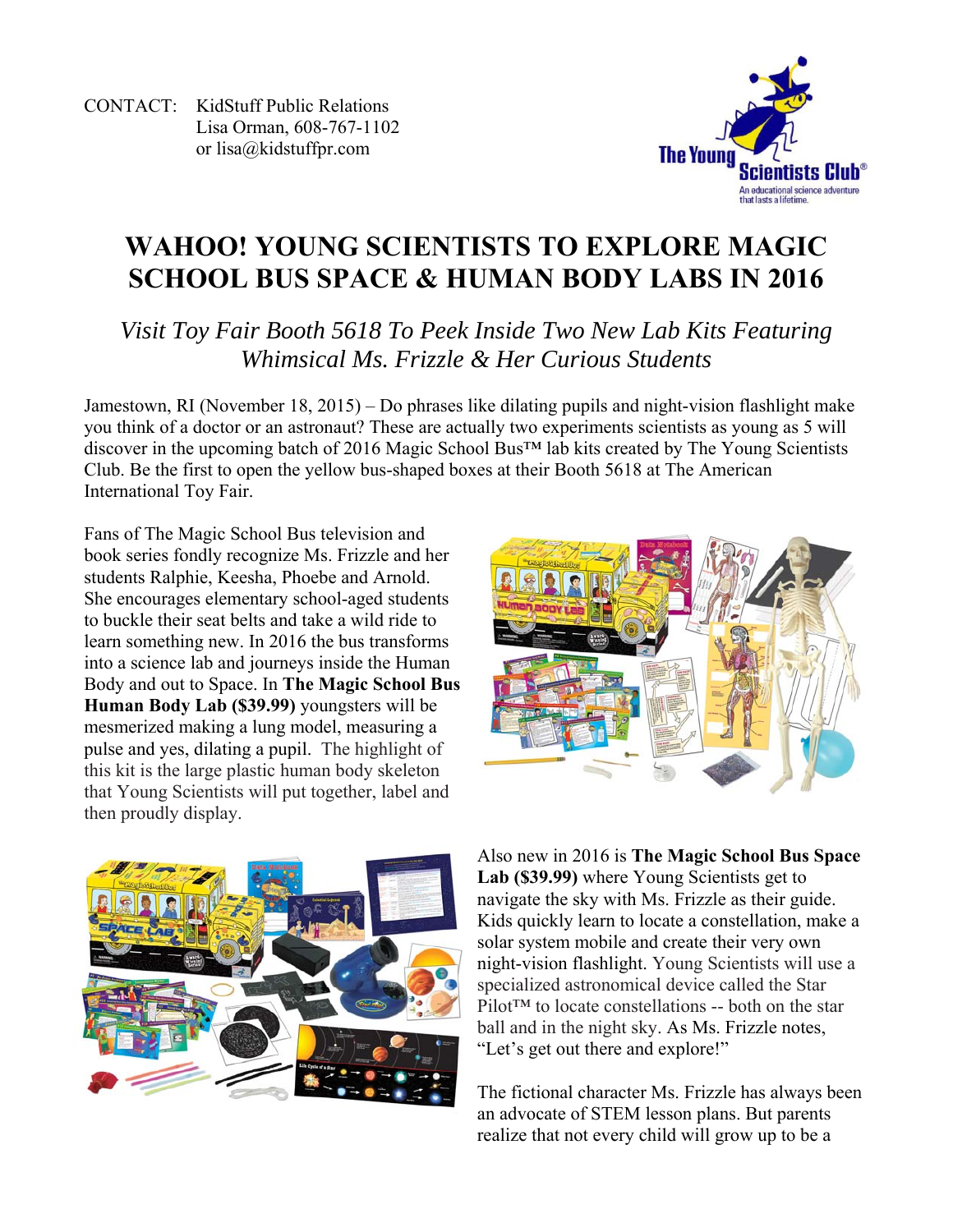CONTACT: KidStuff Public Relations Lisa Orman, 608-767-1102 or lisa@kidstuffpr.com



# **WAHOO! YOUNG SCIENTISTS TO EXPLORE MAGIC SCHOOL BUS SPACE & HUMAN BODY LABS IN 2016**

*Visit Toy Fair Booth 5618 To Peek Inside Two New Lab Kits Featuring Whimsical Ms. Frizzle & Her Curious Students* 

Jamestown, RI (November 18, 2015) – Do phrases like dilating pupils and night-vision flashlight make you think of a doctor or an astronaut? These are actually two experiments scientists as young as 5 will discover in the upcoming batch of 2016 Magic School Bus™ lab kits created by The Young Scientists Club. Be the first to open the yellow bus-shaped boxes at their Booth 5618 at The American International Toy Fair.

Fans of The Magic School Bus television and book series fondly recognize Ms. Frizzle and her students Ralphie, Keesha, Phoebe and Arnold. She encourages elementary school-aged students to buckle their seat belts and take a wild ride to learn something new. In 2016 the bus transforms into a science lab and journeys inside the Human Body and out to Space. In **The Magic School Bus Human Body Lab (\$39.99)** youngsters will be mesmerized making a lung model, measuring a pulse and yes, dilating a pupil. The highlight of this kit is the large plastic human body skeleton that Young Scientists will put together, label and then proudly display.





Also new in 2016 is **The Magic School Bus Space Lab (\$39.99)** where Young Scientists get to navigate the sky with Ms. Frizzle as their guide. Kids quickly learn to locate a constellation, make a solar system mobile and create their very own night-vision flashlight. Young Scientists will use a specialized astronomical device called the Star Pilot™ to locate constellations -- both on the star ball and in the night sky. As Ms. Frizzle notes, "Let's get out there and explore!"

The fictional character Ms. Frizzle has always been an advocate of STEM lesson plans. But parents realize that not every child will grow up to be a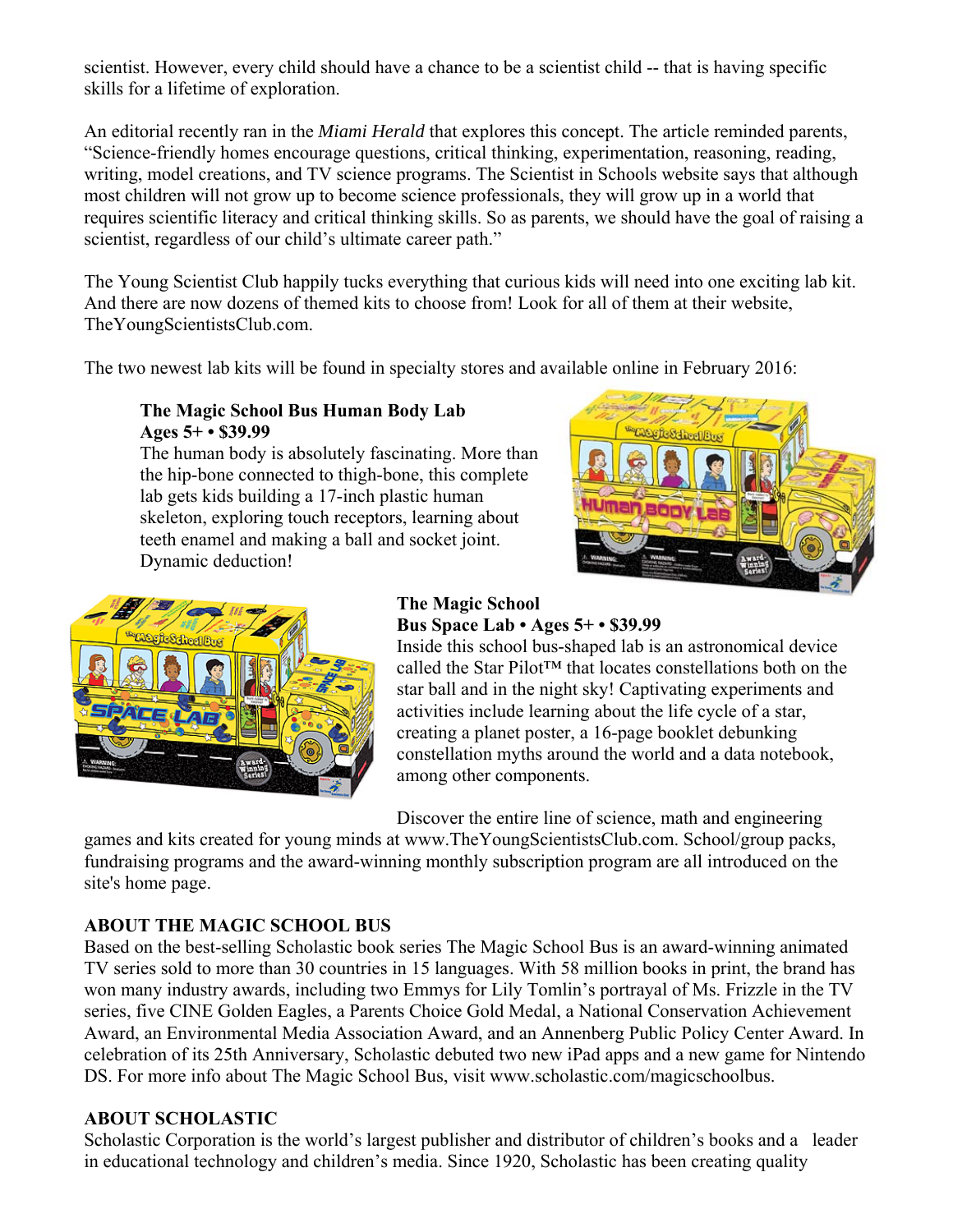scientist. However, every child should have a chance to be a scientist child -- that is having specific skills for a lifetime of exploration.

An editorial recently ran in the *Miami Herald* that explores this concept. The article reminded parents, "Science-friendly homes encourage questions, critical thinking, experimentation, reasoning, reading, writing, model creations, and TV science programs. The Scientist in Schools website says that although most children will not grow up to become science professionals, they will grow up in a world that requires scientific literacy and critical thinking skills. So as parents, we should have the goal of raising a scientist, regardless of our child's ultimate career path."

The Young Scientist Club happily tucks everything that curious kids will need into one exciting lab kit. And there are now dozens of themed kits to choose from! Look for all of them at their website, TheYoungScientistsClub.com.

The two newest lab kits will be found in specialty stores and available online in February 2016:

#### **The Magic School Bus Human Body Lab Ages 5+ • \$39.99**

The human body is absolutely fascinating. More than the hip-bone connected to thigh-bone, this complete lab gets kids building a 17-inch plastic human skeleton, exploring touch receptors, learning about teeth enamel and making a ball and socket joint. Dynamic deduction!





#### **The Magic School Bus Space Lab • Ages 5+ • \$39.99**

Inside this school bus-shaped lab is an astronomical device called the Star Pilot™ that locates constellations both on the star ball and in the night sky! Captivating experiments and activities include learning about the life cycle of a star, creating a planet poster, a 16-page booklet debunking constellation myths around the world and a data notebook, among other components.

Discover the entire line of science, math and engineering

games and kits created for young minds at www.TheYoungScientistsClub.com. School/group packs, fundraising programs and the award-winning monthly subscription program are all introduced on the site's home page.

## **ABOUT THE MAGIC SCHOOL BUS**

Based on the best-selling Scholastic book series The Magic School Bus is an award-winning animated TV series sold to more than 30 countries in 15 languages. With 58 million books in print, the brand has won many industry awards, including two Emmys for Lily Tomlin's portrayal of Ms. Frizzle in the TV series, five CINE Golden Eagles, a Parents Choice Gold Medal, a National Conservation Achievement Award, an Environmental Media Association Award, and an Annenberg Public Policy Center Award. In celebration of its 25th Anniversary, Scholastic debuted two new iPad apps and a new game for Nintendo DS. For more info about The Magic School Bus, visit www.scholastic.com/magicschoolbus.

## **ABOUT SCHOLASTIC**

Scholastic Corporation is the world's largest publisher and distributor of children's books and a leader in educational technology and children's media. Since 1920, Scholastic has been creating quality